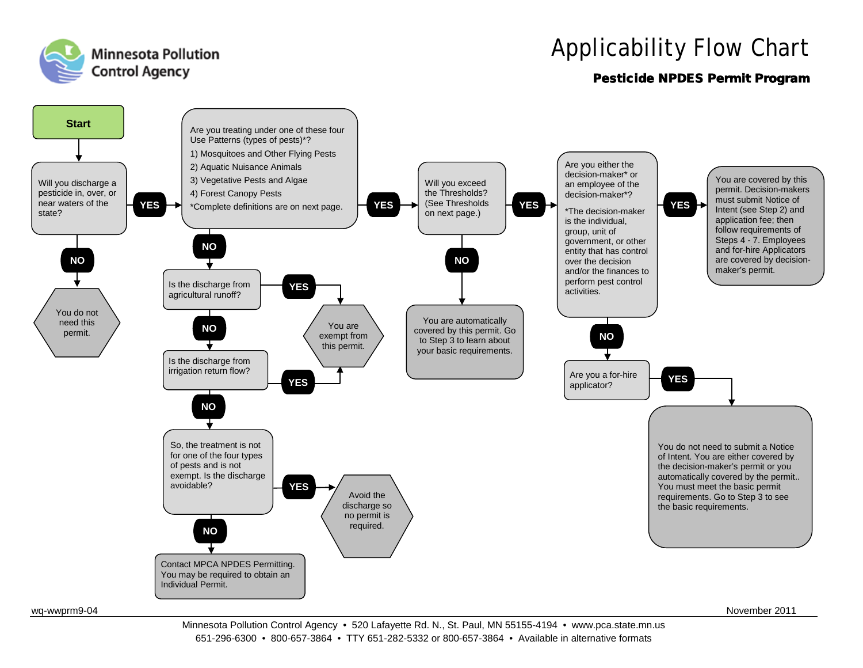

# Applicability Flow Chart

# Pesticide NPDES Permit Program



wq-wwprm9-04 November 2011